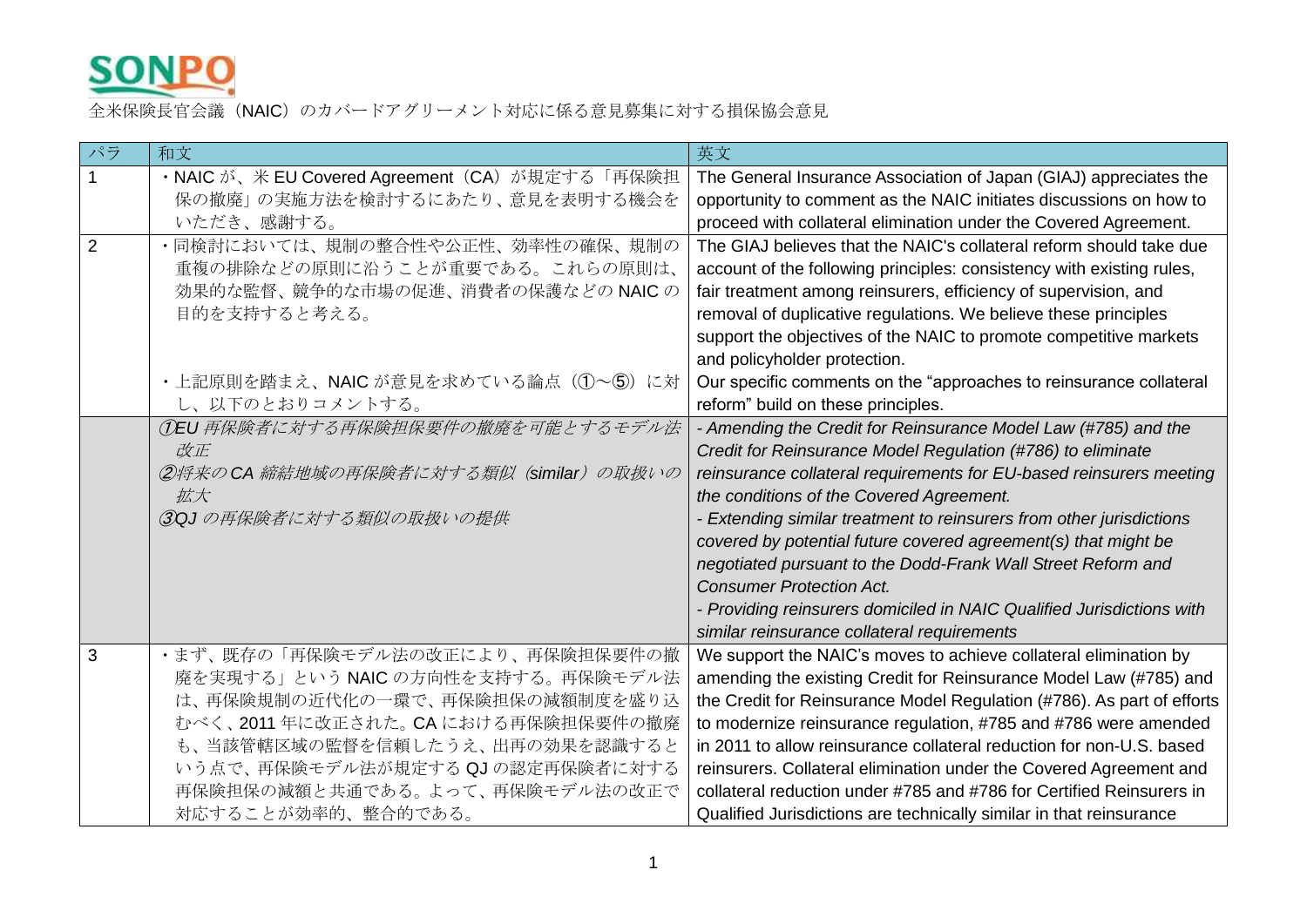

| パラ             | 和文                                              | 英文                                                                     |
|----------------|-------------------------------------------------|------------------------------------------------------------------------|
|                | · NAIC が、米 EU Covered Agreement (CA) が規定する「再保険担 | The General Insurance Association of Japan (GIAJ) appreciates the      |
|                | 保の撤廃」の実施方法を検討するにあたり、意見を表明する機会を                  | opportunity to comment as the NAIC initiates discussions on how to     |
|                | いただき、感謝する。                                      | proceed with collateral elimination under the Covered Agreement.       |
| $\overline{2}$ | ・同検討においては、規制の整合性や公正性、効率性の確保、規制の                 | The GIAJ believes that the NAIC's collateral reform should take due    |
|                | 重複の排除などの原則に沿うことが重要である。これらの原則は、                  | account of the following principles: consistency with existing rules,  |
|                | 効果的な監督、競争的な市場の促進、消費者の保護などの NAIC の               | fair treatment among reinsurers, efficiency of supervision, and        |
|                | 目的を支持すると考える。                                    | removal of duplicative regulations. We believe these principles        |
|                |                                                 | support the objectives of the NAIC to promote competitive markets      |
|                |                                                 | and policyholder protection.                                           |
|                | ・上記原則を踏まえ、NAICが意見を求めている論点 (1~6) に対              | Our specific comments on the "approaches to reinsurance collateral     |
|                | し、以下のとおりコメントする。                                 | reform" build on these principles.                                     |
|                | 1EU 再保険者に対する再保険担保要件の撤廃を可能とするモデル法                | - Amending the Credit for Reinsurance Model Law (#785) and the         |
|                | 改正                                              | Credit for Reinsurance Model Regulation (#786) to eliminate            |
|                | ②将来の CA 締結地域の再保険者に対する類似 (similar) の取扱いの         | reinsurance collateral requirements for EU-based reinsurers meeting    |
|                | 拡大                                              | the conditions of the Covered Agreement.                               |
|                | 3QJの再保険者に対する類似の取扱いの提供                           | - Extending similar treatment to reinsurers from other jurisdictions   |
|                |                                                 | covered by potential future covered agreement(s) that might be         |
|                |                                                 | negotiated pursuant to the Dodd-Frank Wall Street Reform and           |
|                |                                                 | <b>Consumer Protection Act.</b>                                        |
|                |                                                 | - Providing reinsurers domiciled in NAIC Qualified Jurisdictions with  |
|                |                                                 | similar reinsurance collateral requirements                            |
| 3              | ・まず、既存の「再保険モデル法の改正により、再保険担保要件の撤                 | We support the NAIC's moves to achieve collateral elimination by       |
|                | 廃を実現する」という NAIC の方向性を支持する。再保険モデル法               | amending the existing Credit for Reinsurance Model Law (#785) and      |
|                | は、再保険規制の近代化の一環で、再保険担保の減額制度を盛り込                  | the Credit for Reinsurance Model Regulation (#786). As part of efforts |
|                | むべく、2011年に改正された。CAにおける再保険担保要件の撤廃                | to modernize reinsurance regulation, #785 and #786 were amended        |
|                | も、当該管轄区域の監督を信頼したうえ、出再の効果を認識すると                  | in 2011 to allow reinsurance collateral reduction for non-U.S. based   |
|                | いう点で、再保険モデル法が規定する QJの認定再保険者に対する                 | reinsurers. Collateral elimination under the Covered Agreement and     |
|                | 再保険担保の減額と共通である。よって、再保険モデル法の改正で                  | collateral reduction under #785 and #786 for Certified Reinsurers in   |
|                | 対応することが効率的、整合的である。                              | Qualified Jurisdictions are technically similar in that reinsurance    |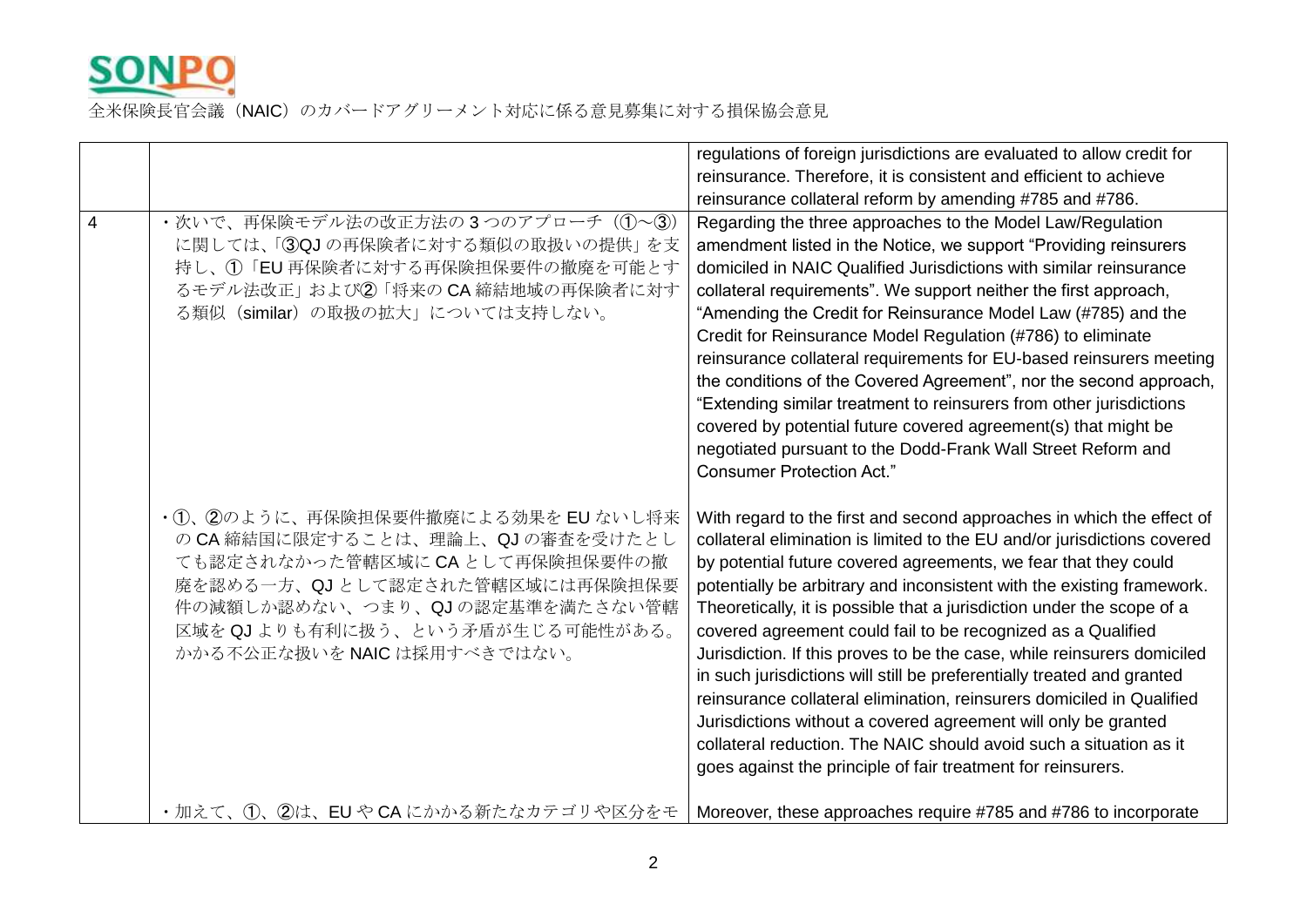

|                |                                                                                                                                                                                                                                               | regulations of foreign jurisdictions are evaluated to allow credit for<br>reinsurance. Therefore, it is consistent and efficient to achieve<br>reinsurance collateral reform by amending #785 and #786.                                                                                                                                                                                                                                                                                                                                                                                                                                                                                                                                                                                                                                                                        |
|----------------|-----------------------------------------------------------------------------------------------------------------------------------------------------------------------------------------------------------------------------------------------|--------------------------------------------------------------------------------------------------------------------------------------------------------------------------------------------------------------------------------------------------------------------------------------------------------------------------------------------------------------------------------------------------------------------------------------------------------------------------------------------------------------------------------------------------------------------------------------------------------------------------------------------------------------------------------------------------------------------------------------------------------------------------------------------------------------------------------------------------------------------------------|
| $\overline{4}$ | ·次いで、再保険モデル法の改正方法の3つのアプローチ (1)~3)<br>に関しては、「3QJの再保険者に対する類似の取扱いの提供」を支<br>持し、1「EU再保険者に対する再保険担保要件の撤廃を可能とす<br>るモデル法改正」および2「将来の CA 締結地域の再保険者に対す<br>る類似(similar)の取扱の拡大」については支持しない。                                                                  | Regarding the three approaches to the Model Law/Regulation<br>amendment listed in the Notice, we support "Providing reinsurers<br>domiciled in NAIC Qualified Jurisdictions with similar reinsurance<br>collateral requirements". We support neither the first approach,<br>"Amending the Credit for Reinsurance Model Law (#785) and the<br>Credit for Reinsurance Model Regulation (#786) to eliminate<br>reinsurance collateral requirements for EU-based reinsurers meeting<br>the conditions of the Covered Agreement", nor the second approach,<br>"Extending similar treatment to reinsurers from other jurisdictions<br>covered by potential future covered agreement(s) that might be<br>negotiated pursuant to the Dodd-Frank Wall Street Reform and<br><b>Consumer Protection Act."</b>                                                                             |
|                | ·1、2のように、再保険担保要件撤廃による効果を EU ないし将来<br>の CA 締結国に限定することは、理論上、QJの審査を受けたとし<br>ても認定されなかった管轄区域に CA として再保険担保要件の撤<br>廃を認める一方、QJとして認定された管轄区域には再保険担保要<br>件の減額しか認めない、つまり、QJの認定基準を満たさない管轄<br>区域をQJよりも有利に扱う、という矛盾が生じる可能性がある。<br>かかる不公正な扱いを NAIC は採用すべきではない。 | With regard to the first and second approaches in which the effect of<br>collateral elimination is limited to the EU and/or jurisdictions covered<br>by potential future covered agreements, we fear that they could<br>potentially be arbitrary and inconsistent with the existing framework.<br>Theoretically, it is possible that a jurisdiction under the scope of a<br>covered agreement could fail to be recognized as a Qualified<br>Jurisdiction. If this proves to be the case, while reinsurers domiciled<br>in such jurisdictions will still be preferentially treated and granted<br>reinsurance collateral elimination, reinsurers domiciled in Qualified<br>Jurisdictions without a covered agreement will only be granted<br>collateral reduction. The NAIC should avoid such a situation as it<br>goes against the principle of fair treatment for reinsurers. |
|                | ·加えて、①、②は、EU や CA にかかる新たなカテゴリや区分をモ                                                                                                                                                                                                            | Moreover, these approaches require #785 and #786 to incorporate                                                                                                                                                                                                                                                                                                                                                                                                                                                                                                                                                                                                                                                                                                                                                                                                                |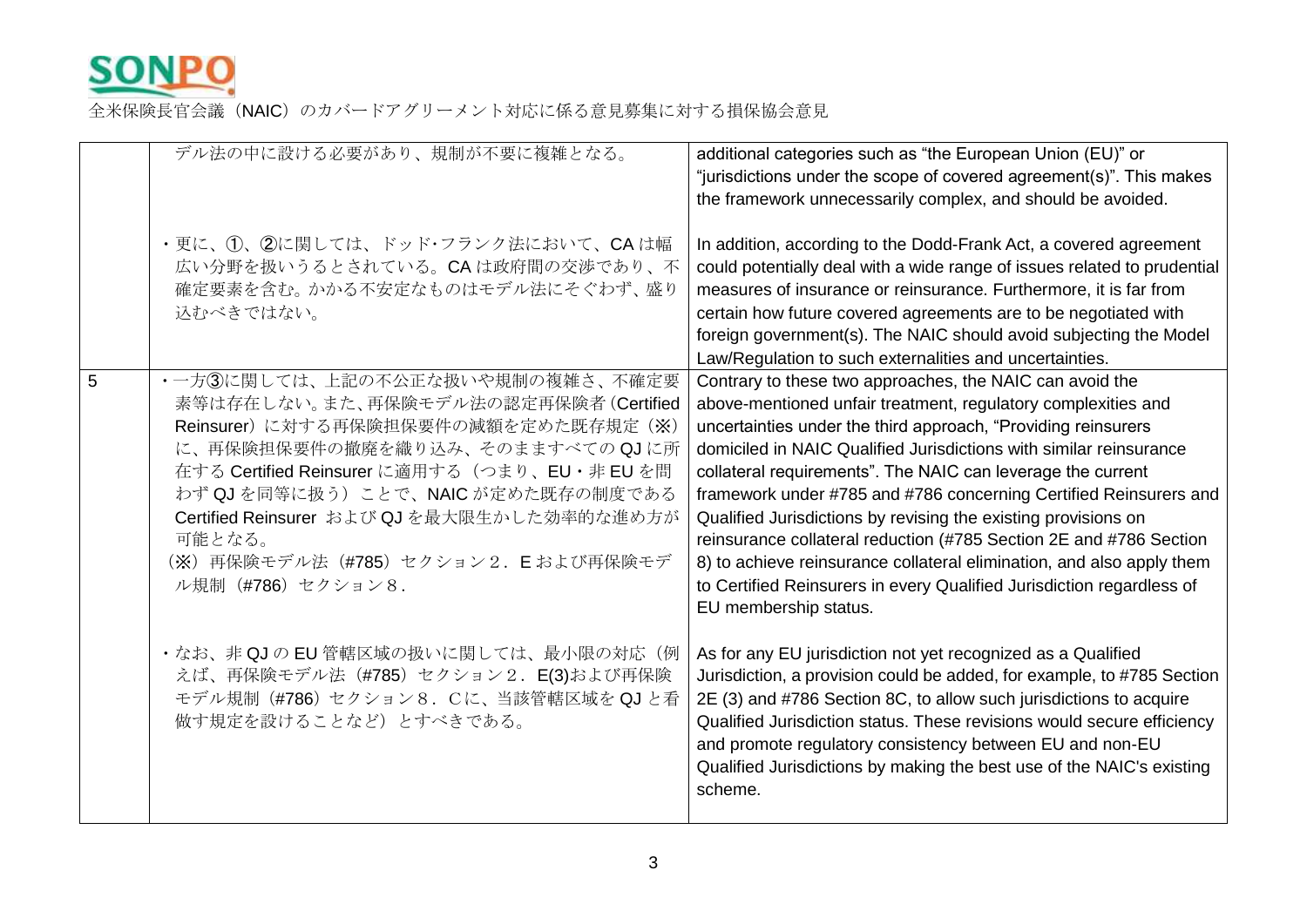

|   | デル法の中に設ける必要があり、規制が不要に複雑となる。                                                                                                                                                                                                                                                                                                                                   | additional categories such as "the European Union (EU)" or<br>"jurisdictions under the scope of covered agreement(s)". This makes<br>the framework unnecessarily complex, and should be avoided.                                                                                                                                                                                                                                                                                                                                                                                                                                                                                                                        |
|---|---------------------------------------------------------------------------------------------------------------------------------------------------------------------------------------------------------------------------------------------------------------------------------------------------------------------------------------------------------------|-------------------------------------------------------------------------------------------------------------------------------------------------------------------------------------------------------------------------------------------------------------------------------------------------------------------------------------------------------------------------------------------------------------------------------------------------------------------------------------------------------------------------------------------------------------------------------------------------------------------------------------------------------------------------------------------------------------------------|
|   | ·更に、①、②に関しては、ドッド·フランク法において、CAは幅<br>広い分野を扱いうるとされている。CAは政府間の交渉であり、不<br>確定要素を含む。かかる不安定なものはモデル法にそぐわず、盛り<br>込むべきではない。                                                                                                                                                                                                                                              | In addition, according to the Dodd-Frank Act, a covered agreement<br>could potentially deal with a wide range of issues related to prudential<br>measures of insurance or reinsurance. Furthermore, it is far from<br>certain how future covered agreements are to be negotiated with<br>foreign government(s). The NAIC should avoid subjecting the Model<br>Law/Regulation to such externalities and uncertainties.                                                                                                                                                                                                                                                                                                   |
| 5 | •一方3に関しては、上記の不公正な扱いや規制の複雑さ、不確定要<br>素等は存在しない。また、再保険モデル法の認定再保険者(Certified<br>Reinsurer)に対する再保険担保要件の減額を定めた既存規定(※)<br>に、再保険担保要件の撤廃を織り込み、そのまますべてのQJに所<br>在する Certified Reinsurer に適用する(つまり、EU・非 EU を問<br>わず QJ を同等に扱う)ことで、NAIC が定めた既存の制度である<br>Certified Reinsurer および QJ を最大限生かした効率的な進め方が<br>可能となる。<br>(※) 再保険モデル法 (#785) セクション2. Eおよび再保険モデ<br>ル規制 (#786) セクション8. | Contrary to these two approaches, the NAIC can avoid the<br>above-mentioned unfair treatment, regulatory complexities and<br>uncertainties under the third approach, "Providing reinsurers<br>domiciled in NAIC Qualified Jurisdictions with similar reinsurance<br>collateral requirements". The NAIC can leverage the current<br>framework under #785 and #786 concerning Certified Reinsurers and<br>Qualified Jurisdictions by revising the existing provisions on<br>reinsurance collateral reduction (#785 Section 2E and #786 Section<br>8) to achieve reinsurance collateral elimination, and also apply them<br>to Certified Reinsurers in every Qualified Jurisdiction regardless of<br>EU membership status. |
|   | ·なお、非QJのEU管轄区域の扱いに関しては、最小限の対応(例<br>えば、再保険モデル法 (#785) セクション2. E(3)および再保険<br>モデル規制 (#786) セクション8. Cに、当該管轄区域をQJと看<br>做す規定を設けることなど)とすべきである。                                                                                                                                                                                                                       | As for any EU jurisdiction not yet recognized as a Qualified<br>Jurisdiction, a provision could be added, for example, to #785 Section<br>2E (3) and #786 Section 8C, to allow such jurisdictions to acquire<br>Qualified Jurisdiction status. These revisions would secure efficiency<br>and promote regulatory consistency between EU and non-EU<br>Qualified Jurisdictions by making the best use of the NAIC's existing<br>scheme.                                                                                                                                                                                                                                                                                  |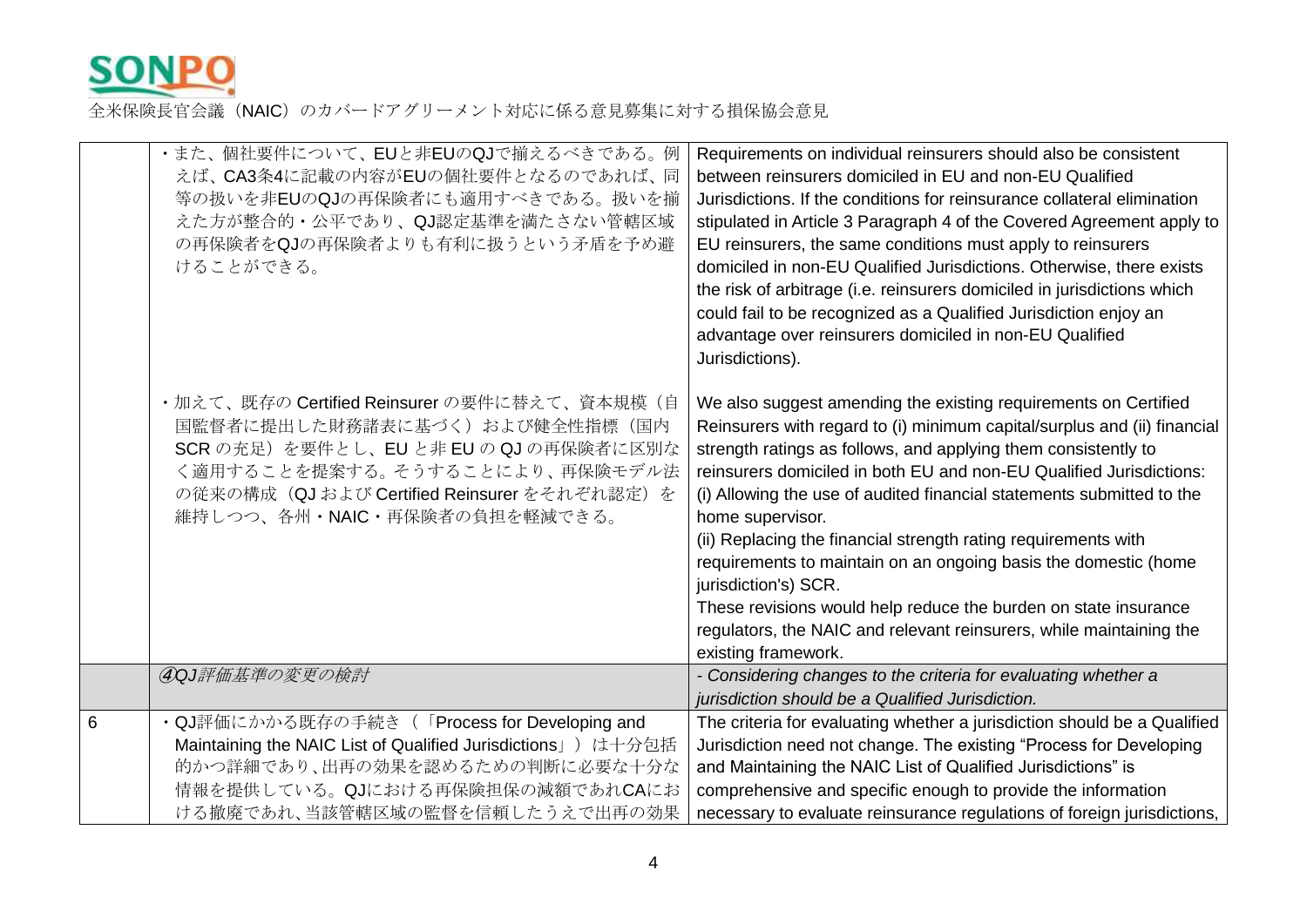

|   | ・また、個社要件について、EUと非EUのQJで揃えるべきである。例                           | Requirements on individual reinsurers should also be consistent          |
|---|-------------------------------------------------------------|--------------------------------------------------------------------------|
|   | えば、CA3条4に記載の内容がEUの個社要件となるのであれば、同                            | between reinsurers domiciled in EU and non-EU Qualified                  |
|   | 等の扱いを非EUのQJの再保険者にも適用すべきである。扱いを揃                             | Jurisdictions. If the conditions for reinsurance collateral elimination  |
|   | えた方が整合的·公平であり、QJ認定基準を満たさない管轄区域                              | stipulated in Article 3 Paragraph 4 of the Covered Agreement apply to    |
|   | の再保険者をQJの再保険者よりも有利に扱うという矛盾を予め避                              | EU reinsurers, the same conditions must apply to reinsurers              |
|   | けることができる。                                                   | domiciled in non-EU Qualified Jurisdictions. Otherwise, there exists     |
|   |                                                             | the risk of arbitrage (i.e. reinsurers domiciled in jurisdictions which  |
|   |                                                             | could fail to be recognized as a Qualified Jurisdiction enjoy an         |
|   |                                                             | advantage over reinsurers domiciled in non-EU Qualified                  |
|   |                                                             | Jurisdictions).                                                          |
|   |                                                             |                                                                          |
|   | ・加えて、既存の Certified Reinsurer の要件に替えて、資本規模(自                 | We also suggest amending the existing requirements on Certified          |
|   | 国監督者に提出した財務諸表に基づく)および健全性指標(国内                               | Reinsurers with regard to (i) minimum capital/surplus and (ii) financial |
|   | SCRの充足)を要件とし、EUと非EUのQJの再保険者に区別な                             | strength ratings as follows, and applying them consistently to           |
|   | く適用することを提案する。そうすることにより、再保険モデル法                              | reinsurers domiciled in both EU and non-EU Qualified Jurisdictions:      |
|   | の従来の構成 (QJおよび Certified Reinsurer をそれぞれ認定)を                 | (i) Allowing the use of audited financial statements submitted to the    |
|   | 維持しつつ、各州·NAIC·再保険者の負担を軽減できる。                                | home supervisor.                                                         |
|   |                                                             | (ii) Replacing the financial strength rating requirements with           |
|   |                                                             | requirements to maintain on an ongoing basis the domestic (home          |
|   |                                                             | jurisdiction's) SCR.                                                     |
|   |                                                             | These revisions would help reduce the burden on state insurance          |
|   |                                                             | regulators, the NAIC and relevant reinsurers, while maintaining the      |
|   |                                                             | existing framework.                                                      |
|   | <b>4)QJ評価基準の変更の検討</b>                                       | - Considering changes to the criteria for evaluating whether a           |
|   |                                                             | jurisdiction should be a Qualified Jurisdiction.                         |
| 6 | ·QJ評価にかかる既存の手続き (「Process for Developing and                | The criteria for evaluating whether a jurisdiction should be a Qualified |
|   | Maintaining the NAIC List of Qualified Jurisdictions」)は十分包括 | Jurisdiction need not change. The existing "Process for Developing       |
|   | 的かつ詳細であり、出再の効果を認めるための判断に必要な十分な                              | and Maintaining the NAIC List of Qualified Jurisdictions" is             |
|   | 情報を提供している。QJにおける再保険担保の減額であれCAにお                             | comprehensive and specific enough to provide the information             |
|   | ける撤廃であれ、当該管轄区域の監督を信頼したうえで出再の効果                              | necessary to evaluate reinsurance regulations of foreign jurisdictions,  |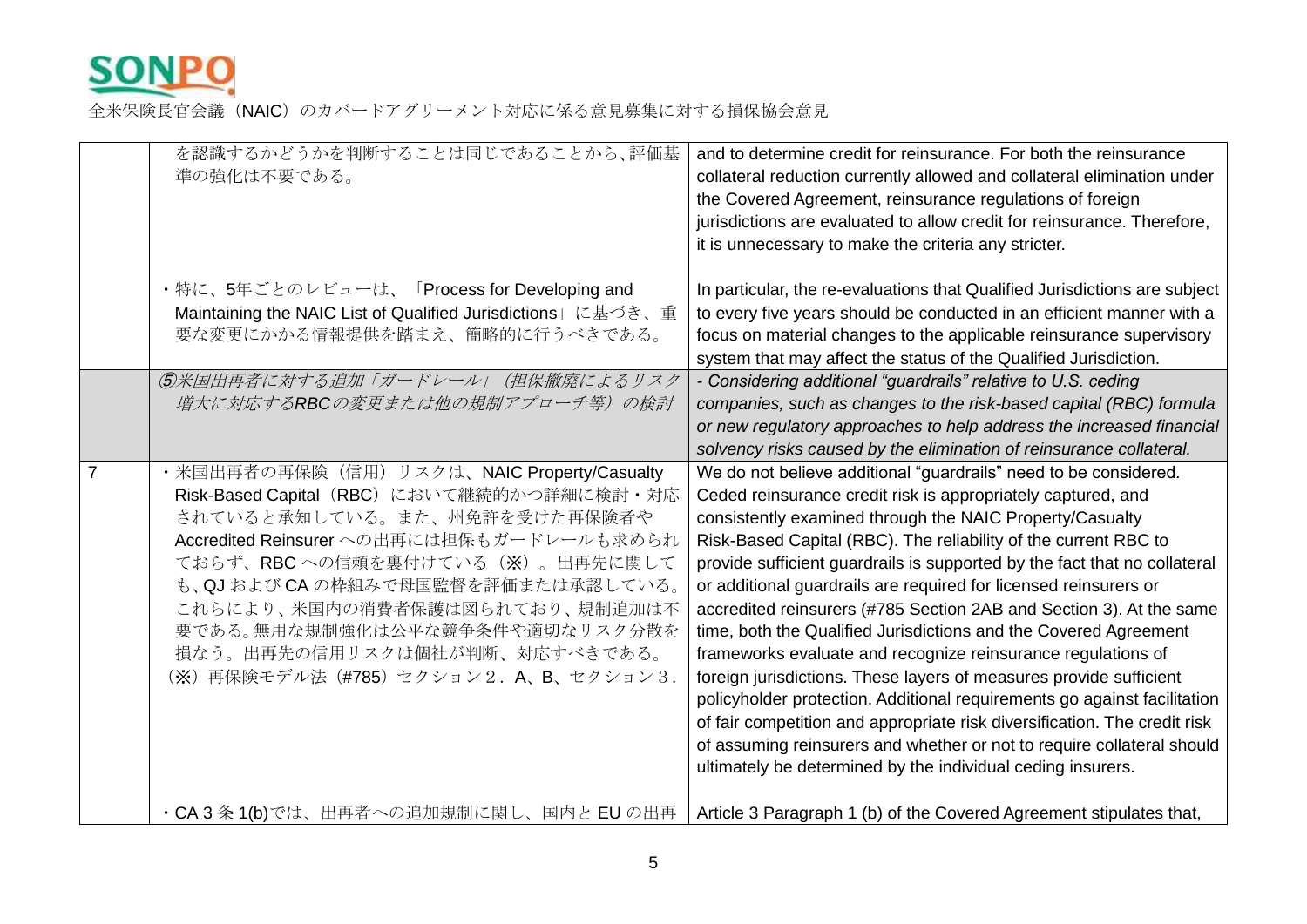

|                | を認識するかどうかを判断することは同じであることから、評価基                              | and to determine credit for reinsurance. For both the reinsurance          |
|----------------|-------------------------------------------------------------|----------------------------------------------------------------------------|
|                | 準の強化は不要である。                                                 | collateral reduction currently allowed and collateral elimination under    |
|                |                                                             | the Covered Agreement, reinsurance regulations of foreign                  |
|                |                                                             | jurisdictions are evaluated to allow credit for reinsurance. Therefore,    |
|                |                                                             | it is unnecessary to make the criteria any stricter.                       |
|                |                                                             |                                                                            |
|                | ・特に、5年ごとのレビューは、「Process for Developing and                  | In particular, the re-evaluations that Qualified Jurisdictions are subject |
|                | Maintaining the NAIC List of Qualified Jurisdictions」に基づき、重 | to every five years should be conducted in an efficient manner with a      |
|                | 要な変更にかかる情報提供を踏まえ、簡略的に行うべきである。                               | focus on material changes to the applicable reinsurance supervisory        |
|                |                                                             | system that may affect the status of the Qualified Jurisdiction.           |
|                | (5)米国出再者に対する追加「ガードレール」 (担保撤廃によるリスク                          | - Considering additional "guardrails" relative to U.S. ceding              |
|                | 増大に対応するRBCの変更または他の規制アプローチ等)の検討                              | companies, such as changes to the risk-based capital (RBC) formula         |
|                |                                                             | or new regulatory approaches to help address the increased financial       |
|                |                                                             | solvency risks caused by the elimination of reinsurance collateral.        |
| $\overline{7}$ | ・米国出再者の再保険(信用)リスクは、NAIC Property/Casualty                   | We do not believe additional "guardrails" need to be considered.           |
|                | Risk-Based Capital (RBC) において継続的かつ詳細に検討・対応                  | Ceded reinsurance credit risk is appropriately captured, and               |
|                | されていると承知している。また、州免許を受けた再保険者や                                | consistently examined through the NAIC Property/Casualty                   |
|                | Accredited Reinsurer への出再には担保もガードレールも求められ                   | Risk-Based Capital (RBC). The reliability of the current RBC to            |
|                | ておらず、RBC への信頼を裏付けている(※)。出再先に関して                             | provide sufficient guardrails is supported by the fact that no collateral  |
|                | も、QJおよび CAの枠組みで母国監督を評価または承認している。                            | or additional guardrails are required for licensed reinsurers or           |
|                | これらにより、米国内の消費者保護は図られており、規制追加は不                              | accredited reinsurers (#785 Section 2AB and Section 3). At the same        |
|                | 要である。無用な規制強化は公平な競争条件や適切なリスク分散を                              | time, both the Qualified Jurisdictions and the Covered Agreement           |
|                | 損なう。出再先の信用リスクは個社が判断、対応すべきである。                               | frameworks evaluate and recognize reinsurance regulations of               |
|                | (※) 再保険モデル法 (#785) セクション2. A、B、セクション3.                      | foreign jurisdictions. These layers of measures provide sufficient         |
|                |                                                             | policyholder protection. Additional requirements go against facilitation   |
|                |                                                             | of fair competition and appropriate risk diversification. The credit risk  |
|                |                                                             | of assuming reinsurers and whether or not to require collateral should     |
|                |                                                             | ultimately be determined by the individual ceding insurers.                |
|                |                                                             |                                                                            |
|                | ・CA3条1(b)では、出再者への追加規制に関し、国内とEUの出再                           | Article 3 Paragraph 1 (b) of the Covered Agreement stipulates that,        |